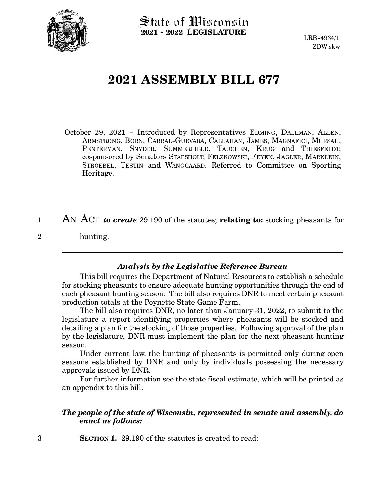

 $\operatorname{\mathsf{State}}$  of Wisconsin **2021 - 2022 LEGISLATURE**

LRB-4934/1 ZDW:skw

## **2021 ASSEMBLY BILL 677**

- October 29, 2021 Introduced by Representatives EDMING, DALLMAN, ALLEN, ARMSTRONG, BORN, CABRAL-GUEVARA, CALLAHAN, JAMES, MAGNAFICI, MURSAU, PENTERMAN, SNYDER, SUMMERFIELD, TAUCHEN, KRUG and THIESFELDT, cosponsored by Senators STAFSHOLT, FELZKOWSKI, FEYEN, JAGLER, MARKLEIN, STROEBEL, TESTIN and WANGGAARD. Referred to Committee on Sporting Heritage.
- AN ACT *to create* 29.190 of the statutes; **relating to:** stocking pheasants for hunting. 1 2

## *Analysis by the Legislative Reference Bureau*

This bill requires the Department of Natural Resources to establish a schedule for stocking pheasants to ensure adequate hunting opportunities through the end of each pheasant hunting season. The bill also requires DNR to meet certain pheasant production totals at the Poynette State Game Farm.

The bill also requires DNR, no later than January 31, 2022, to submit to the legislature a report identifying properties where pheasants will be stocked and detailing a plan for the stocking of those properties. Following approval of the plan by the legislature, DNR must implement the plan for the next pheasant hunting season.

Under current law, the hunting of pheasants is permitted only during open seasons established by DNR and only by individuals possessing the necessary approvals issued by DNR.

For further information see the state fiscal estimate, which will be printed as an appendix to this bill.

## *The people of the state of Wisconsin, represented in senate and assembly, do enact as follows:*

**SECTION 1.** 29.190 of the statutes is created to read: